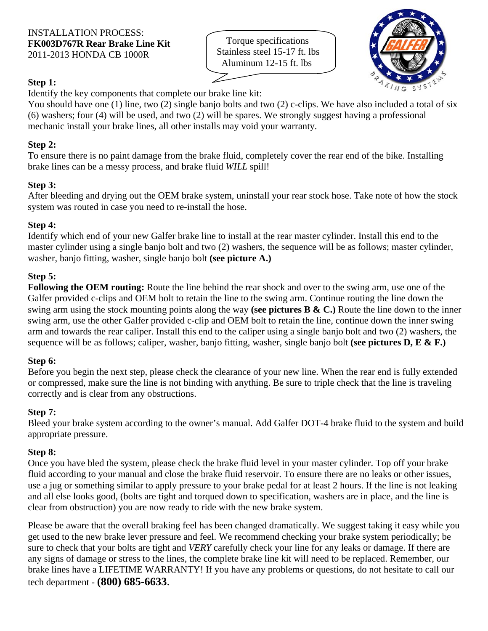Torque specifications Stainless steel 15-17 ft. lbs Aluminum 12-15 ft. lbs



# **Step 1:**

Identify the key components that complete our brake line kit:

You should have one (1) line, two (2) single banjo bolts and two (2) c-clips. We have also included a total of six (6) washers; four (4) will be used, and two (2) will be spares. We strongly suggest having a professional mechanic install your brake lines, all other installs may void your warranty.

# **Step 2:**

To ensure there is no paint damage from the brake fluid, completely cover the rear end of the bike. Installing brake lines can be a messy process, and brake fluid *WILL* spill!

# **Step 3:**

After bleeding and drying out the OEM brake system, uninstall your rear stock hose. Take note of how the stock system was routed in case you need to re-install the hose.

### **Step 4:**

Identify which end of your new Galfer brake line to install at the rear master cylinder. Install this end to the master cylinder using a single banjo bolt and two (2) washers, the sequence will be as follows; master cylinder, washer, banjo fitting, washer, single banjo bolt **(see picture A.)**

### **Step 5:**

**Following the OEM routing:** Route the line behind the rear shock and over to the swing arm, use one of the Galfer provided c-clips and OEM bolt to retain the line to the swing arm. Continue routing the line down the swing arm using the stock mounting points along the way **(see pictures B & C.)** Route the line down to the inner swing arm, use the other Galfer provided c-clip and OEM bolt to retain the line, continue down the inner swing arm and towards the rear caliper. Install this end to the caliper using a single banjo bolt and two (2) washers, the sequence will be as follows; caliper, washer, banjo fitting, washer, single banjo bolt **(see pictures D, E & F.)** 

### **Step 6:**

Before you begin the next step, please check the clearance of your new line. When the rear end is fully extended or compressed, make sure the line is not binding with anything. Be sure to triple check that the line is traveling correctly and is clear from any obstructions.

### **Step 7:**

Bleed your brake system according to the owner's manual. Add Galfer DOT-4 brake fluid to the system and build appropriate pressure.

### **Step 8:**

Once you have bled the system, please check the brake fluid level in your master cylinder. Top off your brake fluid according to your manual and close the brake fluid reservoir. To ensure there are no leaks or other issues, use a jug or something similar to apply pressure to your brake pedal for at least 2 hours. If the line is not leaking and all else looks good, (bolts are tight and torqued down to specification, washers are in place, and the line is clear from obstruction) you are now ready to ride with the new brake system.

Please be aware that the overall braking feel has been changed dramatically. We suggest taking it easy while you get used to the new brake lever pressure and feel. We recommend checking your brake system periodically; be sure to check that your bolts are tight and *VERY* carefully check your line for any leaks or damage. If there are any signs of damage or stress to the lines, the complete brake line kit will need to be replaced. Remember, our brake lines have a LIFETIME WARRANTY! If you have any problems or questions, do not hesitate to call our tech department - **(800) 685-6633**.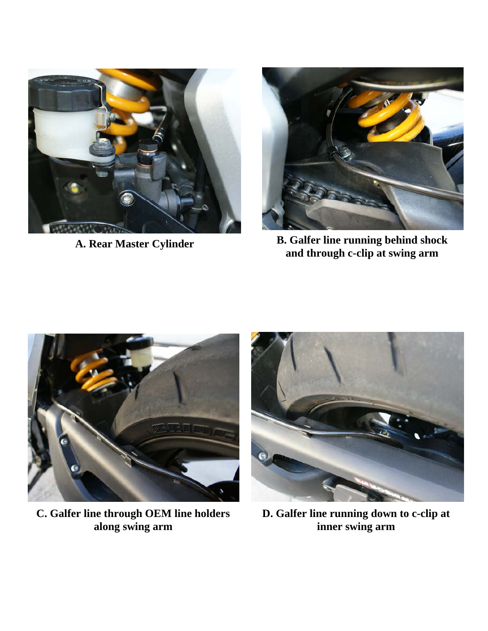



**A. Rear Master Cylinder B. Galfer line running behind shock and through c-clip at swing arm** 



**C. Galfer line through OEM line holders along swing arm** 



**D. Galfer line running down to c-clip at inner swing arm**